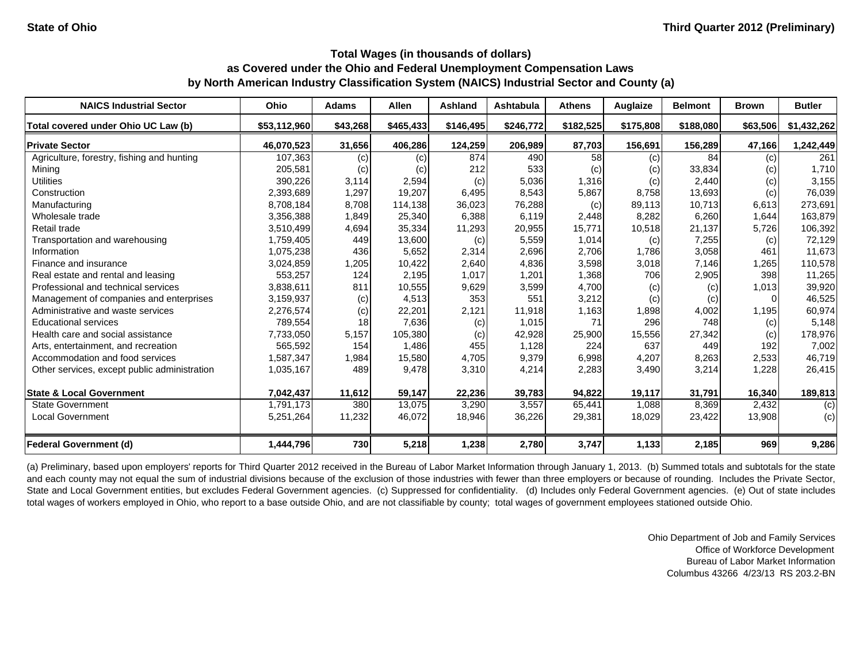| <b>NAICS Industrial Sector</b>               | Ohio         | <b>Adams</b> | <b>Allen</b> | <b>Ashland</b> | <b>Ashtabula</b> | <b>Athens</b> | Auglaize  | <b>Belmont</b> | <b>Brown</b> | <b>Butler</b> |
|----------------------------------------------|--------------|--------------|--------------|----------------|------------------|---------------|-----------|----------------|--------------|---------------|
| Total covered under Ohio UC Law (b)          | \$53,112,960 | \$43,268     | \$465,433    | \$146,495      | \$246,772        | \$182,525     | \$175,808 | \$188,080      | \$63,506     | \$1,432,262   |
| <b>Private Sector</b>                        | 46,070,523   | 31,656       | 406,286      | 124,259        | 206,989          | 87,703        | 156,691   | 156,289        | 47,166       | 1,242,449     |
| Agriculture, forestry, fishing and hunting   | 107,363      | (c)          | (c)          | 874            | 490              | 58            | (c)       | 84             | (c)          | 261           |
| Mining                                       | 205,581      | (c)          | (c)          | 212            | 533              | (c)           | (c)       | 33,834         | (c)          | 1,710         |
| <b>Utilities</b>                             | 390,226      | 3,114        | 2,594        | (c)            | 5,036            | 1,316         | (c)       | 2,440          | (c)          | 3,155         |
| Construction                                 | 2,393,689    | 1,297        | 19.207       | 6,495          | 8,543            | 5.867         | 8.758     | 13,693         | (c)          | 76,039        |
| Manufacturing                                | 8,708,184    | 8,708        | 114,138      | 36,023         | 76,288           | (c)           | 89,113    | 10,713         | 6,613        | 273,691       |
| Wholesale trade                              | 3,356,388    | 1,849        | 25,340       | 6,388          | 6,119            | 2,448         | 8,282     | 6,260          | 1,644        | 163,879       |
| Retail trade                                 | 3,510,499    | 4,694        | 35,334       | 11,293         | 20,955           | 15,771        | 10,518    | 21,137         | 5,726        | 106,392       |
| Transportation and warehousing               | 1,759,405    | 449          | 13,600       | (c)            | 5,559            | 1.014         | (c)       | 7,255          | (c)          | 72,129        |
| Information                                  | 1,075,238    | 436          | 5,652        | 2,314          | 2,696            | 2,706         | 1,786     | 3,058          | 461          | 11,673        |
| Finance and insurance                        | 3,024,859    | 1,205        | 10,422       | 2,640          | 4,836            | 3,598         | 3,018     | 7.146          | 1,265        | 110,578       |
| Real estate and rental and leasing           | 553,257      | 124          | 2,195        | 1,017          | 1,201            | 1,368         | 706       | 2,905          | 398          | 11,265        |
| Professional and technical services          | 3,838,611    | 811          | 10,555       | 9,629          | 3,599            | 4,700         | (c)       | (c)            | 1,013        | 39,920        |
| Management of companies and enterprises      | 3,159,937    | (c)          | 4,513        | 353            | 551              | 3,212         | (c)       | (c)            | $\Omega$     | 46,525        |
| Administrative and waste services            | 2,276,574    | (c)          | 22,201       | 2,121          | 11,918           | 1,163         | 1,898     | 4,002          | 1,195        | 60,974        |
| <b>Educational services</b>                  | 789,554      | 18           | 7,636        | (c)            | 1,015            | 71            | 296       | 748            | (c)          | 5,148         |
| Health care and social assistance            | 7,733,050    | 5,157        | 105,380      | (c)            | 42,928           | 25,900        | 15,556    | 27,342         | (c)          | 178,976       |
| Arts, entertainment, and recreation          | 565,592      | 154          | 1.486        | 455            | 1,128            | 224           | 637       | 449            | 192          | 7,002         |
| Accommodation and food services              | 1,587,347    | 1,984        | 15,580       | 4,705          | 9,379            | 6,998         | 4,207     | 8,263          | 2,533        | 46,719        |
| Other services, except public administration | 1,035,167    | 489          | 9,478        | 3,310          | 4,214            | 2,283         | 3,490     | 3,214          | 1,228        | 26,415        |
| <b>State &amp; Local Government</b>          | 7,042,437    | 11,612       | 59,147       | 22,236         | 39,783           | 94.822        | 19,117    | 31,791         | 16,340       | 189,813       |
| <b>State Government</b>                      | 1,791,173    | 380          | 13.075       | 3,290          | 3,557            | 65,441        | 1,088     | 8.369          | 2,432        | (c)           |
| <b>Local Government</b>                      | 5,251,264    | 11,232       | 46,072       | 18,946         | 36,226           | 29,381        | 18,029    | 23,422         | 13,908       | (c)           |
| <b>Federal Government (d)</b>                | 1,444,796    | 730          | 5,218        | 1,238          | 2,780            | 3,747         | 1,133     | 2,185          | 969          | 9,286         |

(a) Preliminary, based upon employers' reports for Third Quarter 2012 received in the Bureau of Labor Market Information through January 1, 2013. (b) Summed totals and subtotals for the state and each county may not equal the sum of industrial divisions because of the exclusion of those industries with fewer than three employers or because of rounding. Includes the Private Sector, State and Local Government entities, but excludes Federal Government agencies. (c) Suppressed for confidentiality. (d) Includes only Federal Government agencies. (e) Out of state includes total wages of workers employed in Ohio, who report to a base outside Ohio, and are not classifiable by county; total wages of government employees stationed outside Ohio.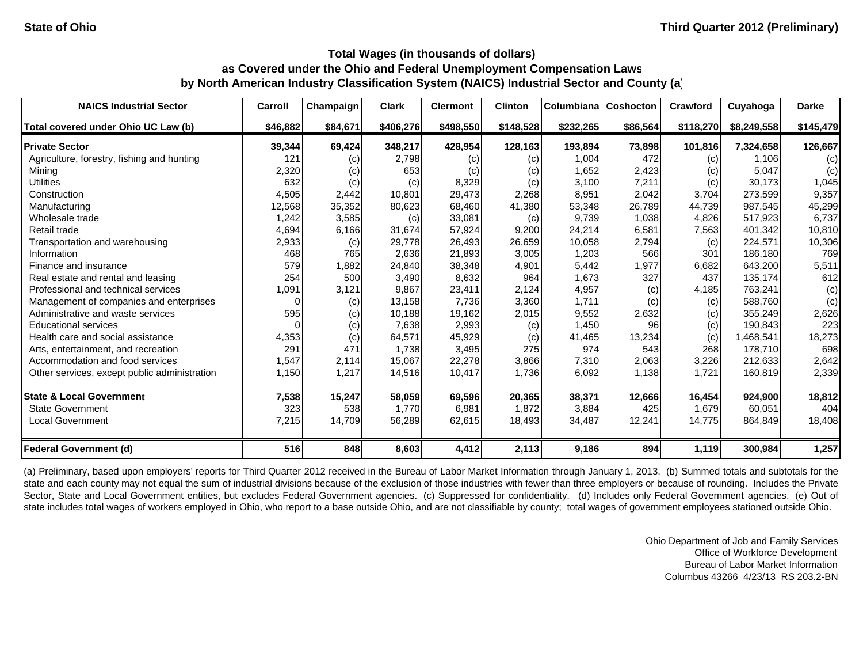| <b>NAICS Industrial Sector</b>               | <b>Carroll</b> | Champaign | <b>Clark</b> | <b>Clermont</b> | <b>Clinton</b> | Columbiana | Coshocton | Crawford  | Cuyahoga    | <b>Darke</b> |
|----------------------------------------------|----------------|-----------|--------------|-----------------|----------------|------------|-----------|-----------|-------------|--------------|
| Total covered under Ohio UC Law (b)          | \$46,882       | \$84,671  | \$406,276    | \$498,550       | \$148,528      | \$232,265  | \$86,564  | \$118,270 | \$8,249,558 | \$145,479    |
| <b>Private Sector</b>                        | 39,344         | 69,424    | 348,217      | 428,954         | 128,163        | 193,894    | 73,898    | 101,816   | 7,324,658   | 126,667      |
| Agriculture, forestry, fishing and hunting   | 121            | (c)       | 2,798        | (c)             | (c)            | 1,004      | 472       | (c)       | 1,106       | (c)          |
| Mining                                       | 2,320          | (c)       | 653          | (c)             | (c)            | 1,652      | 2,423     | (c)       | 5,047       | (c)          |
| <b>Utilities</b>                             | 632            | (c)       | (c)          | 8,329           | (c)            | 3,100      | 7,211     | (c)       | 30,173      | 1,045        |
| Construction                                 | 4,505          | 2,442     | 10,801       | 29,473          | 2,268          | 8,951      | 2,042     | 3,704     | 273,599     | 9,357        |
| Manufacturing                                | 12,568         | 35,352    | 80,623       | 68,460          | 41,380         | 53,348     | 26,789    | 44,739    | 987,545     | 45,299       |
| Wholesale trade                              | 1,242          | 3,585     | (c)          | 33,081          | (c)            | 9,739      | 1,038     | 4,826     | 517,923     | 6,737        |
| Retail trade                                 | 4,694          | 6,166     | 31,674       | 57,924          | 9,200          | 24,214     | 6,581     | 7,563     | 401,342     | 10,810       |
| Transportation and warehousing               | 2,933          | (c)       | 29,778       | 26,493          | 26,659         | 10,058     | 2,794     | (c)       | 224,571     | 10,306       |
| Information                                  | 468            | 765       | 2,636        | 21,893          | 3,005          | 1,203      | 566       | 301       | 186,180     | 769          |
| Finance and insurance                        | 579            | 1,882     | 24,840       | 38,348          | 4,901          | 5,442      | 1,977     | 6,682     | 643,200     | 5,511        |
| Real estate and rental and leasing           | 254            | 500       | 3,490        | 8,632           | 964            | 1,673      | 327       | 437       | 135,174     | 612          |
| Professional and technical services          | 1,091          | 3,121     | 9,867        | 23,411          | 2,124          | 4,957      | (c)       | 4,185     | 763,241     | (c)          |
| Management of companies and enterprises      | 0              | (c)       | 13,158       | 7,736           | 3,360          | 1,711      | (c)       | (c)       | 588,760     | (c)          |
| Administrative and waste services            | 595            | (c)       | 10,188       | 19,162          | 2,015          | 9,552      | 2,632     | (c)       | 355,249     | 2,626        |
| <b>Educational services</b>                  |                | (c)       | 7,638        | 2,993           | (c)            | 1,450      | 96        | (c)       | 190,843     | 223          |
| Health care and social assistance            | 4,353          | (c)       | 64,571       | 45,929          | (c)            | 41,465     | 13,234    | (c)       | 1,468,541   | 18,273       |
| Arts, entertainment, and recreation          | 291            | 471       | 1,738        | 3,495           | 275            | 974        | 543       | 268       | 178,710     | 698          |
| Accommodation and food services              | 1,547          | 2,114     | 15,067       | 22,278          | 3,866          | 7,310      | 2,063     | 3,226     | 212,633     | 2,642        |
| Other services, except public administration | 1,150          | 1,217     | 14,516       | 10,417          | 1,736          | 6,092      | 1,138     | 1,721     | 160,819     | 2,339        |
| <b>State &amp; Local Government</b>          | 7,538          | 15,247    | 58,059       | 69,596          | 20,365         | 38,371     | 12,666    | 16,454    | 924,900     | 18,812       |
| <b>State Government</b>                      | 323            | 538       | 1,770        | 6,981           | 1,872          | 3,884      | 425       | 1,679     | 60,051      | 404          |
| <b>Local Government</b>                      | 7,215          | 14,709    | 56,289       | 62,615          | 18,493         | 34,487     | 12,241    | 14,775    | 864,849     | 18,408       |
| <b>Federal Government (d)</b>                | 516            | 848       | 8,603        | 4,412           | 2,113          | 9,186      | 894       | 1,119     | 300,984     | 1,257        |

(a) Preliminary, based upon employers' reports for Third Quarter 2012 received in the Bureau of Labor Market Information through January 1, 2013. (b) Summed totals and subtotals for the state and each county may not equal the sum of industrial divisions because of the exclusion of those industries with fewer than three employers or because of rounding. Includes the Private Sector, State and Local Government entities, but excludes Federal Government agencies. (c) Suppressed for confidentiality. (d) Includes only Federal Government agencies. (e) Out of state includes total wages of workers employed in Ohio, who report to a base outside Ohio, and are not classifiable by county; total wages of government employees stationed outside Ohio.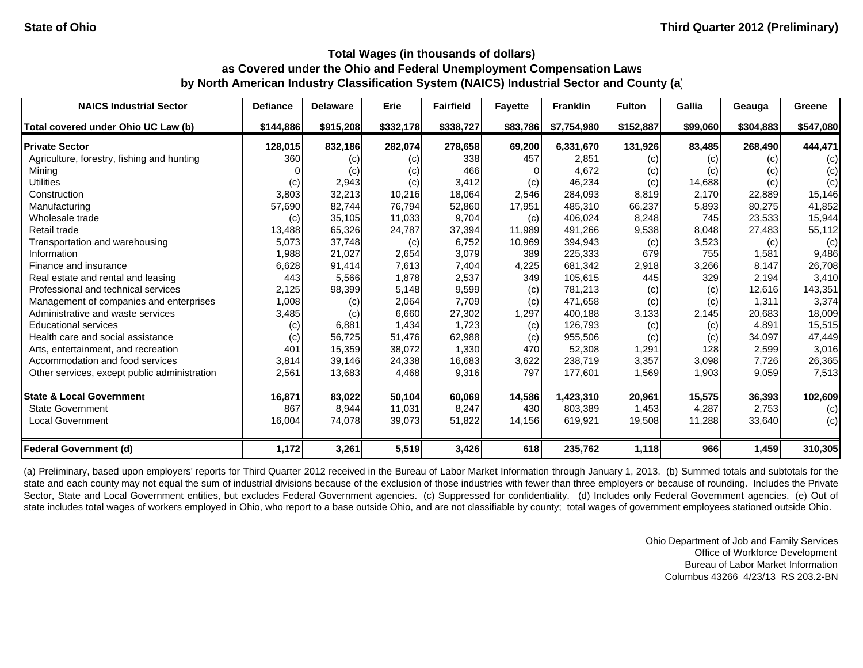| <b>NAICS Industrial Sector</b>               | <b>Defiance</b> | <b>Delaware</b> | Erie      | <b>Fairfield</b> | <b>Fayette</b> | <b>Franklin</b> | <b>Fulton</b> | <b>Gallia</b> | Geauga    | Greene    |
|----------------------------------------------|-----------------|-----------------|-----------|------------------|----------------|-----------------|---------------|---------------|-----------|-----------|
| Total covered under Ohio UC Law (b)          | \$144.886       | \$915,208       | \$332,178 | \$338,727        | \$83,786       | \$7,754,980     | \$152,887     | \$99,060      | \$304,883 | \$547,080 |
| <b>Private Sector</b>                        | 128,015         | 832,186         | 282,074   | 278,658          | 69,200         | 6,331,670       | 131,926       | 83,485        | 268,490   | 444,471   |
| Agriculture, forestry, fishing and hunting   | 360             | (c)             | (c)       | 338              | 457            | 2,851           | (c)           | (c)           | (c)       | (c)       |
| Mining                                       |                 | (c)             | (c)       | 466              |                | 4,672           | (c)           | (c)           | (c)       | (c)       |
| Utilities                                    | (c)             | 2,943           | (c)       | 3,412            | (c)            | 46,234          | (c)           | 14,688        | (c)       | (c)       |
| Construction                                 | 3,803           | 32,213          | 10,216    | 18,064           | 2,546          | 284.093         | 8,819         | 2.170         | 22.889    | 15,146    |
| Manufacturing                                | 57,690          | 82,744          | 76,794    | 52,860           | 17,951         | 485,310         | 66,237        | 5,893         | 80,275    | 41,852    |
| Wholesale trade                              | (c)             | 35,105          | 11,033    | 9,704            | (c)            | 406,024         | 8,248         | 745           | 23,533    | 15,944    |
| Retail trade                                 | 13,488          | 65,326          | 24,787    | 37,394           | 11,989         | 491,266         | 9,538         | 8,048         | 27,483    | 55,112    |
| Transportation and warehousing               | 5,073           | 37,748          | (c)       | 6,752            | 10,969         | 394,943         | (c)           | 3,523         | (c)       | (c)       |
| Information                                  | 1,988           | 21,027          | 2,654     | 3,079            | 389            | 225,333         | 679           | 755           | 1,581     | 9,486     |
| Finance and insurance                        | 6,628           | 91,414          | 7,613     | 7,404            | 4,225          | 681,342         | 2,918         | 3,266         | 8,147     | 26,708    |
| Real estate and rental and leasing           | 443             | 5,566           | 1,878     | 2,537            | 349            | 105,615         | 445           | 329           | 2,194     | 3,410     |
| Professional and technical services          | 2,125           | 98,399          | 5,148     | 9,599            | (c)            | 781,213         | (c)           | (c)           | 12,616    | 143,351   |
| Management of companies and enterprises      | 1,008           | (c)             | 2,064     | 7,709            | (c)            | 471,658         | (c)           | (c)           | 1.311     | 3,374     |
| Administrative and waste services            | 3,485           | (c)             | 6,660     | 27,302           | 1,297          | 400,188         | 3,133         | 2,145         | 20,683    | 18,009    |
| <b>Educational services</b>                  | (c)             | 6,881           | 1,434     | 1,723            | (c)            | 126,793         | (c)           | (c)           | 4,891     | 15,515    |
| Health care and social assistance            | (c)             | 56,725          | 51,476    | 62,988           | (c)            | 955,506         | (c)           | (c)           | 34.097    | 47,449    |
| Arts, entertainment, and recreation          | 401             | 15,359          | 38,072    | 1,330            | 470            | 52,308          | 1,291         | 128           | 2,599     | 3,016     |
| Accommodation and food services              | 3,814           | 39,146          | 24,338    | 16,683           | 3,622          | 238,719         | 3,357         | 3,098         | 7,726     | 26,365    |
| Other services, except public administration | 2,561           | 13,683          | 4,468     | 9,316            | 797            | 177,601         | 1,569         | 1,903         | 9,059     | 7,513     |
| <b>State &amp; Local Government</b>          | 16,871          | 83,022          | 50,104    | 60,069           | 14,586         | 1,423,310       | 20,961        | 15,575        | 36,393    | 102,609   |
| <b>State Government</b>                      | 867             | 8,944           | 11,031    | 8,247            | 430            | 803,389         | 1,453         | 4,287         | 2,753     | (c)       |
| <b>Local Government</b>                      | 16,004          | 74,078          | 39,073    | 51,822           | 14,156         | 619,921         | 19,508        | 11,288        | 33,640    | (c)       |
| <b>Federal Government (d)</b>                | 1,172           | 3,261           | 5,519     | 3,426            | 618            | 235,762         | 1,118         | 966           | 1,459     | 310,305   |

(a) Preliminary, based upon employers' reports for Third Quarter 2012 received in the Bureau of Labor Market Information through January 1, 2013. (b) Summed totals and subtotals for the state and each county may not equal the sum of industrial divisions because of the exclusion of those industries with fewer than three employers or because of rounding. Includes the Private Sector, State and Local Government entities, but excludes Federal Government agencies. (c) Suppressed for confidentiality. (d) Includes only Federal Government agencies. (e) Out of state includes total wages of workers employed in Ohio, who report to a base outside Ohio, and are not classifiable by county; total wages of government employees stationed outside Ohio.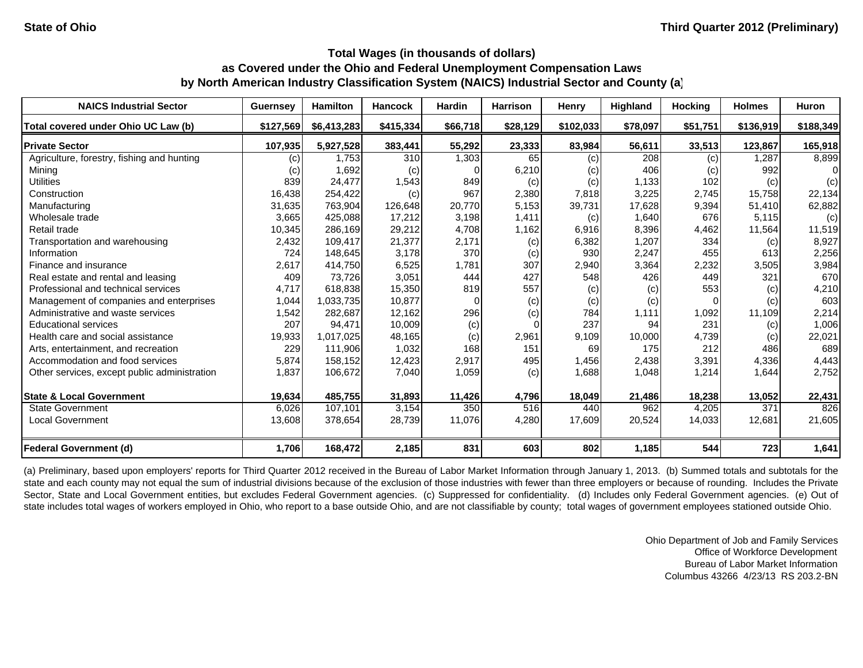| <b>NAICS Industrial Sector</b>               | <b>Guernsey</b> | <b>Hamilton</b> | <b>Hancock</b> | <b>Hardin</b> | <b>Harrison</b> | Henry     | <b>Highland</b> | <b>Hocking</b> | <b>Holmes</b> | <b>Huron</b> |
|----------------------------------------------|-----------------|-----------------|----------------|---------------|-----------------|-----------|-----------------|----------------|---------------|--------------|
| Total covered under Ohio UC Law (b)          | \$127,569       | \$6,413,283     | \$415,334      | \$66,718      | \$28,129        | \$102,033 | \$78,097        | \$51,751       | \$136,919     | \$188,349    |
| <b>Private Sector</b>                        | 107,935         | 5,927,528       | 383,441        | 55,292        | 23,333          | 83,984    | 56,611          | 33,513         | 123,867       | 165,918      |
| Agriculture, forestry, fishing and hunting   | (c)             | 1,753           | 310            | 1,303         | 65              | (c)       | 208             | (c)            | 1.287         | 8,899        |
| Mining                                       | (c)             | 1,692           | (c)            |               | 6,210           | (c)       | 406             | (c)            | 992           |              |
| <b>Utilities</b>                             | 839             | 24,477          | 1,543          | 849           | (c)             | (c)       | 1,133           | 102            | (c)           | (c)          |
| Construction                                 | 16,438          | 254,422         | (c)            | 967           | 2,380           | 7,818     | 3,225           | 2,745          | 15,758        | 22,134       |
| Manufacturing                                | 31,635          | 763,904         | 126,648        | 20,770        | 5,153           | 39,731    | 17,628          | 9,394          | 51,410        | 62,882       |
| Wholesale trade                              | 3,665           | 425,088         | 17,212         | 3,198         | 1,411           | (c)       | 1,640           | 676            | 5,115         | (c)          |
| Retail trade                                 | 10,345          | 286,169         | 29,212         | 4,708         | 1,162           | 6,916     | 8,396           | 4,462          | 11,564        | 11,519       |
| Transportation and warehousing               | 2,432           | 109,417         | 21,377         | 2,171         | (c)             | 6,382     | 1,207           | 334            | (c)           | 8,927        |
| Information                                  | 724             | 148,645         | 3,178          | 370           | (c)             | 930       | 2,247           | 455            | 613           | 2,256        |
| Finance and insurance                        | 2,617           | 414,750         | 6,525          | 1,781         | 307             | 2,940     | 3,364           | 2,232          | 3,505         | 3,984        |
| Real estate and rental and leasing           | 409             | 73,726          | 3,051          | 444           | 427             | 548       | 426             | 449            | 321           | 670          |
| Professional and technical services          | 4.717           | 618.838         | 15,350         | 819           | 557             | (c)       | (c)             | 553            | (c)           | 4,210        |
| Management of companies and enterprises      | 1,044           | 1,033,735       | 10,877         |               | (c)             | (c)       | (c)             |                | (c)           | 603          |
| Administrative and waste services            | 1,542           | 282,687         | 12,162         | 296           | (c)             | 784       | 1,111           | 1,092          | 11,109        | 2,214        |
| <b>Educational services</b>                  | 207             | 94,471          | 10,009         | (c)           | $\Omega$        | 237       | 94              | 231            | (c)           | 1,006        |
| Health care and social assistance            | 19,933          | 1,017,025       | 48,165         | (c)           | 2,961           | 9,109     | 10,000          | 4,739          | (c)           | 22,021       |
| Arts, entertainment, and recreation          | 229             | 111,906         | 1,032          | 168           | 151             | 69        | 175             | 212            | 486           | 689          |
| Accommodation and food services              | 5,874           | 158,152         | 12,423         | 2,917         | 495             | 1,456     | 2,438           | 3,391          | 4,336         | 4,443        |
| Other services, except public administration | 1,837           | 106,672         | 7,040          | 1,059         | (c)             | 1,688     | 1,048           | 1,214          | 1,644         | 2,752        |
| <b>State &amp; Local Government</b>          | 19,634          | 485,755         | 31,893         | 11,426        | 4,796           | 18,049    | 21,486          | 18,238         | 13,052        | 22,431       |
| State Government                             | 6,026           | 107,101         | 3,154          | 350           | 516             | 440       | 962             | 4,205          | 371           | 826          |
| <b>Local Government</b>                      | 13,608          | 378,654         | 28,739         | 11,076        | 4,280           | 17,609    | 20,524          | 14,033         | 12,681        | 21,605       |
| <b>Federal Government (d)</b>                | 1,706           | 168,472         | 2,185          | 831           | 603             | 802       | 1,185           | 544            | 723           | 1,641        |

(a) Preliminary, based upon employers' reports for Third Quarter 2012 received in the Bureau of Labor Market Information through January 1, 2013. (b) Summed totals and subtotals for the state and each county may not equal the sum of industrial divisions because of the exclusion of those industries with fewer than three employers or because of rounding. Includes the Private Sector, State and Local Government entities, but excludes Federal Government agencies. (c) Suppressed for confidentiality. (d) Includes only Federal Government agencies. (e) Out of state includes total wages of workers employed in Ohio, who report to a base outside Ohio, and are not classifiable by county; total wages of government employees stationed outside Ohio.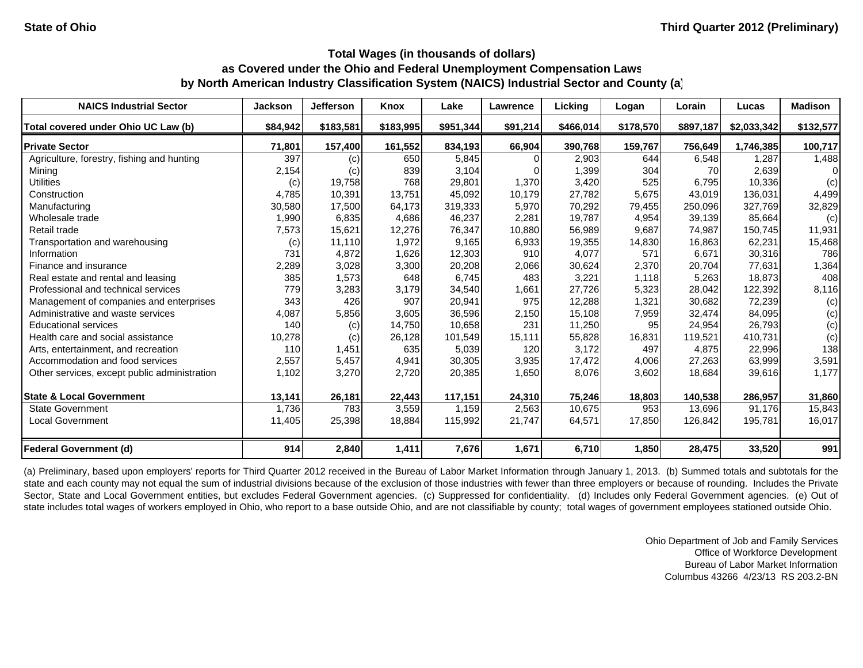| <b>NAICS Industrial Sector</b>               | <b>Jackson</b> | Jefferson | Knox      | Lake      | Lawrence | Licking   | Logan     | Lorain    | Lucas       | <b>Madison</b> |
|----------------------------------------------|----------------|-----------|-----------|-----------|----------|-----------|-----------|-----------|-------------|----------------|
| Total covered under Ohio UC Law (b)          | \$84.942       | \$183,581 | \$183,995 | \$951,344 | \$91,214 | \$466,014 | \$178,570 | \$897,187 | \$2,033,342 | \$132,577      |
| <b>Private Sector</b>                        | 71,801         | 157,400   | 161,552   | 834,193   | 66,904   | 390,768   | 159,767   | 756,649   | 1,746,385   | 100,717        |
| Agriculture, forestry, fishing and hunting   | 397            | (c)       | 650       | 5,845     |          | 2,903     | 644       | 6,548     | 1,287       | 1,488          |
| Mining                                       | 2,154          | (c)       | 839       | 3,104     |          | 1,399     | 304       | 70        | 2,639       |                |
| Utilities                                    | (c)            | 19,758    | 768       | 29,801    | 1,370    | 3,420     | 525       | 6,795     | 10,336      | (c)            |
| Construction                                 | 4,785          | 10,391    | 13,751    | 45,092    | 10,179   | 27,782    | 5,675     | 43,019    | 136,031     | 4,499          |
| Manufacturing                                | 30,580         | 17,500    | 64,173    | 319,333   | 5,970    | 70,292    | 79,455    | 250,096   | 327.769     | 32,829         |
| Wholesale trade                              | 1,990          | 6,835     | 4,686     | 46,237    | 2,281    | 19,787    | 4,954     | 39,139    | 85,664      | (c)            |
| Retail trade                                 | 7,573          | 15,621    | 12,276    | 76,347    | 10,880   | 56,989    | 9,687     | 74,987    | 150,745     | 11,931         |
| Transportation and warehousing               | (c)            | 11.110    | 1,972     | 9,165     | 6,933    | 19,355    | 14,830    | 16,863    | 62,231      | 15,468         |
| Information                                  | 731            | 4,872     | 1,626     | 12,303    | 910      | 4,077     | 571       | 6,671     | 30,316      | 786            |
| Finance and insurance                        | 2,289          | 3,028     | 3,300     | 20,208    | 2,066    | 30,624    | 2,370     | 20,704    | 77,631      | 1,364          |
| Real estate and rental and leasing           | 385            | 1,573     | 648       | 6,745     | 483      | 3,221     | 1,118     | 5,263     | 18,873      | 408            |
| Professional and technical services          | 779            | 3,283     | 3,179     | 34,540    | 1,661    | 27,726    | 5,323     | 28,042    | 122,392     | 8,116          |
| Management of companies and enterprises      | 343            | 426       | 907       | 20,941    | 975      | 12,288    | 1,321     | 30,682    | 72,239      | (c)            |
| Administrative and waste services            | 4,087          | 5,856     | 3,605     | 36,596    | 2,150    | 15,108    | 7,959     | 32,474    | 84,095      | (c)            |
| <b>Educational services</b>                  | 140            | (c)       | 14,750    | 10,658    | 231      | 11,250    | 95        | 24,954    | 26,793      | (c)            |
| Health care and social assistance            | 10,278         | (c)       | 26,128    | 101,549   | 15,111   | 55,828    | 16,831    | 119,521   | 410,731     | (c)            |
| Arts, entertainment, and recreation          | 110            | 1,451     | 635       | 5,039     | 120      | 3,172     | 497       | 4,875     | 22,996      | 138            |
| Accommodation and food services              | 2,557          | 5,457     | 4,941     | 30,305    | 3,935    | 17,472    | 4,006     | 27,263    | 63,999      | 3,591          |
| Other services, except public administration | 1,102          | 3,270     | 2,720     | 20,385    | 1,650    | 8,076     | 3,602     | 18,684    | 39,616      | 1,177          |
| <b>State &amp; Local Government</b>          | 13,141         | 26,181    | 22,443    | 117,151   | 24,310   | 75,246    | 18,803    | 140,538   | 286,957     | 31,860         |
| <b>State Government</b>                      | 1,736          | 783       | 3,559     | 1.159     | 2,563    | 10,675    | 953       | 13,696    | 91.176      | 15,843         |
| <b>Local Government</b>                      | 11,405         | 25,398    | 18,884    | 115,992   | 21,747   | 64,571    | 17,850    | 126,842   | 195,781     | 16,017         |
| <b>Federal Government (d)</b>                | 914            | 2,840     | 1,411     | 7,676     | 1,671    | 6,710     | 1,850     | 28,475    | 33,520      | 991            |

(a) Preliminary, based upon employers' reports for Third Quarter 2012 received in the Bureau of Labor Market Information through January 1, 2013. (b) Summed totals and subtotals for the state and each county may not equal the sum of industrial divisions because of the exclusion of those industries with fewer than three employers or because of rounding. Includes the Private Sector, State and Local Government entities, but excludes Federal Government agencies. (c) Suppressed for confidentiality. (d) Includes only Federal Government agencies. (e) Out of state includes total wages of workers employed in Ohio, who report to a base outside Ohio, and are not classifiable by county; total wages of government employees stationed outside Ohio.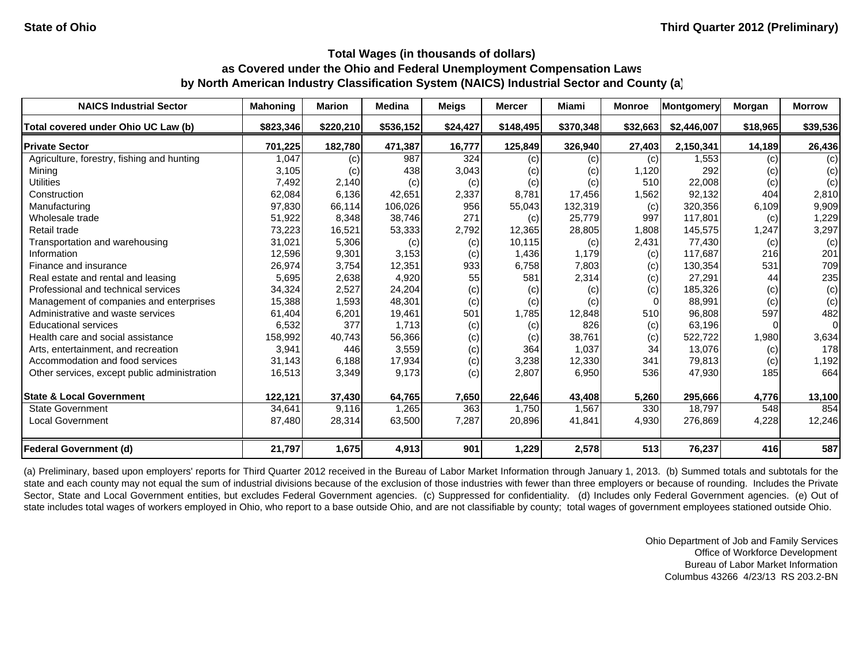| <b>NAICS Industrial Sector</b>               | <b>Mahoning</b> | <b>Marion</b> | <b>Medina</b> | <b>Meigs</b> | <b>Mercer</b> | Miami     | <b>Monroe</b> | <b>Montgomery</b> | Morgan   | <b>Morrow</b> |
|----------------------------------------------|-----------------|---------------|---------------|--------------|---------------|-----------|---------------|-------------------|----------|---------------|
| Total covered under Ohio UC Law (b)          | \$823,346       | \$220.210     | \$536,152     | \$24,427     | \$148,495     | \$370,348 | \$32,663      | \$2,446,007       | \$18,965 | \$39,536      |
| <b>Private Sector</b>                        | 701,225         | 182,780       | 471,387       | 16,777       | 125,849       | 326,940   | 27,403        | 2,150,341         | 14,189   | 26,436        |
| Agriculture, forestry, fishing and hunting   | 1,047           | (c)           | 987           | 324          | (c)           | (c)       | (c)           | 1,553             | (c)      | (c)           |
| Mining                                       | 3,105           | (c)           | 438           | 3,043        | (c)           | (c)       | 1,120         | 292               | (c)      | (c)           |
| <b>Utilities</b>                             | 7,492           | 2,140         | (c)           | (c)          | (c)           | (c)       | 510           | 22,008            | (c)      | (c)           |
| Construction                                 | 62,084          | 6,136         | 42,651        | 2,337        | 8,781         | 17,456    | 1,562         | 92,132            | 404      | 2,810         |
| Manufacturing                                | 97,830          | 66,114        | 106,026       | 956          | 55,043        | 132,319   | (c)           | 320,356           | 6,109    | 9,909         |
| Wholesale trade                              | 51,922          | 8,348         | 38,746        | 271          | (c)           | 25,779    | 997           | 117,801           | (c)      | 1,229         |
| Retail trade                                 | 73,223          | 16,521        | 53,333        | 2,792        | 12,365        | 28,805    | 1,808         | 145,575           | 1,247    | 3,297         |
| Transportation and warehousing               | 31,021          | 5,306         | (c)           | (c)          | 10,115        | (c)       | 2,431         | 77,430            | (c)      | (c)           |
| Information                                  | 12,596          | 9,301         | 3,153         | (c)          | 1,436         | 1,179     | (c)           | 117,687           | 216      | 201           |
| Finance and insurance                        | 26,974          | 3,754         | 12,351        | 933          | 6,758         | 7,803     | (c)           | 130,354           | 531      | 709           |
| Real estate and rental and leasing           | 5,695           | 2,638         | 4,920         | 55           | 581           | 2,314     | (c)           | 27,291            | 44       | 235           |
| Professional and technical services          | 34,324          | 2,527         | 24,204        | (c)          | (c)           | (c)       | (c)           | 185,326           | (c)      | (c)           |
| Management of companies and enterprises      | 15,388          | 1,593         | 48,301        | (c)          | (c)           | (c)       | 0             | 88,991            | (c)      | (c)           |
| Administrative and waste services            | 61,404          | 6,201         | 19,461        | 501          | 1,785         | 12,848    | 510           | 96,808            | 597      | 482           |
| <b>Educational services</b>                  | 6,532           | 377           | 1,713         | (c)          | (c)           | 826       | (c)           | 63,196            |          | $\Omega$      |
| Health care and social assistance            | 158,992         | 40,743        | 56,366        | (c)          | (c)           | 38,761    | (c)           | 522,722           | 1,980    | 3,634         |
| Arts, entertainment, and recreation          | 3,941           | 446           | 3,559         | (c)          | 364           | 1,037     | 34            | 13,076            | (c)      | 178           |
| Accommodation and food services              | 31,143          | 6,188         | 17,934        | (c)          | 3,238         | 12,330    | 341           | 79,813            | (c)      | 1,192         |
| Other services, except public administration | 16,513          | 3,349         | 9,173         | (c)          | 2,807         | 6,950     | 536           | 47,930            | 185      | 664           |
| <b>State &amp; Local Government</b>          | 122,121         | 37,430        | 64,765        | 7,650        | 22,646        | 43,408    | 5,260         | 295,666           | 4,776    | 13,100        |
| <b>State Government</b>                      | 34,641          | 9,116         | 1,265         | 363          | 1,750         | 1,567     | 330           | 18,797            | 548      | 854           |
| <b>Local Government</b>                      | 87,480          | 28,314        | 63,500        | 7,287        | 20,896        | 41,841    | 4,930         | 276,869           | 4,228    | 12,246        |
| <b>Federal Government (d)</b>                | 21,797          | 1,675         | 4,913         | 901          | 1,229         | 2,578     | 513           | 76,237            | 416      | 587           |

(a) Preliminary, based upon employers' reports for Third Quarter 2012 received in the Bureau of Labor Market Information through January 1, 2013. (b) Summed totals and subtotals for the state and each county may not equal the sum of industrial divisions because of the exclusion of those industries with fewer than three employers or because of rounding. Includes the Private Sector, State and Local Government entities, but excludes Federal Government agencies. (c) Suppressed for confidentiality. (d) Includes only Federal Government agencies. (e) Out of state includes total wages of workers employed in Ohio, who report to a base outside Ohio, and are not classifiable by county; total wages of government employees stationed outside Ohio.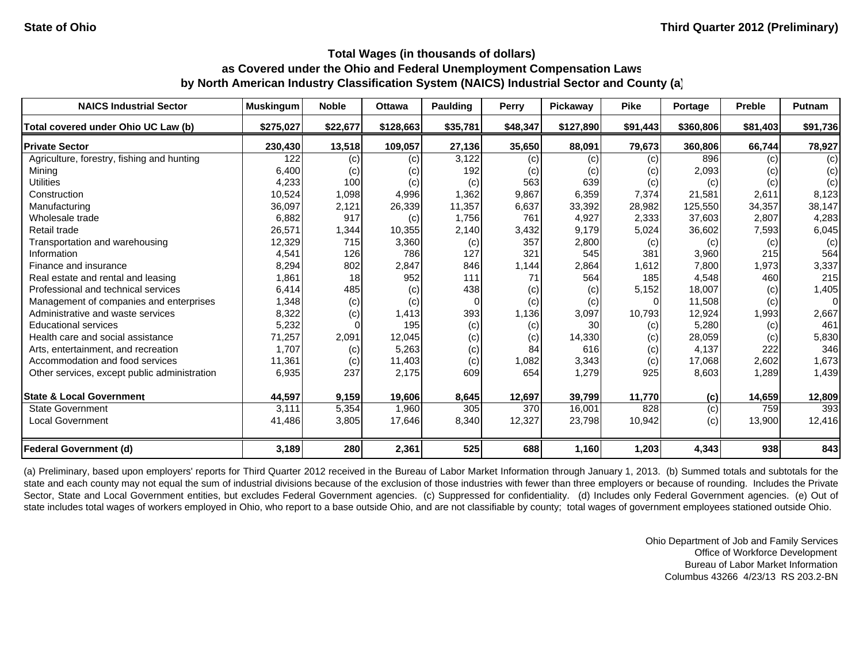| <b>NAICS Industrial Sector</b>               | <b>Muskingum</b> | <b>Noble</b>      | <b>Ottawa</b> | <b>Paulding</b> | <b>Perry</b> | Pickaway  | <b>Pike</b> | Portage   | <b>Preble</b> | Putnam   |
|----------------------------------------------|------------------|-------------------|---------------|-----------------|--------------|-----------|-------------|-----------|---------------|----------|
| Total covered under Ohio UC Law (b)          | \$275,027        | \$22,677          | \$128,663     | \$35,781        | \$48,347     | \$127,890 | \$91,443    | \$360,806 | \$81,403      | \$91,736 |
| <b>Private Sector</b>                        | 230,430          | 13,518            | 109,057       | 27,136          | 35,650       | 88,091    | 79,673      | 360,806   | 66,744        | 78,927   |
| Agriculture, forestry, fishing and hunting   | 122              | (c)               | (c)           | 3,122           | (c)          | (c)       | (c)         | 896       | (c)           | (c)      |
| Mining                                       | 6,400            | (c)               | (c)           | 192             | (c)          | (c)       | (c)         | 2,093     | (c)           | (c)      |
| <b>Utilities</b>                             | 4,233            | 100               | (c)           | (c)             | 563          | 639       | (c)         | (c)       | (c)           | (c)      |
| Construction                                 | 10,524           | 1,098             | 4,996         | 1,362           | 9,867        | 6,359     | 7,374       | 21,581    | 2,611         | 8,123    |
| Manufacturing                                | 36,097           | 2,121             | 26,339        | 11,357          | 6,637        | 33,392    | 28,982      | 125,550   | 34,357        | 38,147   |
| Wholesale trade                              | 6,882            | 917               | (c)           | 1,756           | 761          | 4,927     | 2,333       | 37,603    | 2,807         | 4,283    |
| Retail trade                                 | 26,571           | 1,344             | 10,355        | 2,140           | 3,432        | 9,179     | 5,024       | 36,602    | 7,593         | 6,045    |
| Transportation and warehousing               | 12,329           | 715               | 3,360         | (c)             | 357          | 2,800     | (c)         | (c)       | (c)           | (c)      |
| Information                                  | 4,541            | 126               | 786           | 127             | 321          | 545       | 381         | 3,960     | 215           | 564      |
| Finance and insurance                        | 8,294            | 802               | 2,847         | 846             | 1,144        | 2,864     | 1,612       | 7,800     | 1,973         | 3,337    |
| Real estate and rental and leasing           | 1,861            | 18                | 952           | 111             | 71           | 564       | 185         | 4,548     | 460           | 215      |
| Professional and technical services          | 6,414            | 485               | (c)           | 438             | (c)          | (c)       | 5,152       | 18,007    | (c)           | 1,405    |
| Management of companies and enterprises      | 1,348            | (c)               | (c)           | $\Omega$        | (c)          | (c)       |             | 11,508    | (c)           | 0        |
| Administrative and waste services            | 8,322            | (c)               | 1,413         | 393             | 1,136        | 3,097     | 10,793      | 12,924    | 1,993         | 2,667    |
| <b>Educational services</b>                  | 5,232            |                   | 195           | (c)             | (c)          | 30        | (c)         | 5,280     | (c)           | 461      |
| Health care and social assistance            | 71,257           | 2,091             | 12,045        | (c)             | (c)          | 14,330    | (c)         | 28,059    | (c)           | 5,830    |
| Arts, entertainment, and recreation          | 1.707            | $\left( c\right)$ | 5,263         | (c)             | 84           | 616       | (c)         | 4,137     | 222           | 346      |
| Accommodation and food services              | 11,361           | (c)               | 11,403        | (c)             | 1,082        | 3,343     | (c)         | 17,068    | 2,602         | 1,673    |
| Other services, except public administration | 6,935            | 237               | 2,175         | 609             | 654          | 1,279     | 925         | 8,603     | 1,289         | 1,439    |
| <b>State &amp; Local Government</b>          | 44,597           | 9,159             | 19,606        | 8,645           | 12,697       | 39,799    | 11,770      | (c)       | 14,659        | 12,809   |
| <b>State Government</b>                      | 3,111            | 5,354             | 1,960         | 305             | 370          | 16,001    | 828         | (c)       | 759           | 393      |
| <b>Local Government</b>                      | 41,486           | 3,805             | 17,646        | 8,340           | 12,327       | 23,798    | 10,942      | (c)       | 13,900        | 12,416   |
| <b>Federal Government (d)</b>                | 3,189            | 280               | 2,361         | 525             | 688          | 1,160     | 1,203       | 4,343     | 938           | 843      |

(a) Preliminary, based upon employers' reports for Third Quarter 2012 received in the Bureau of Labor Market Information through January 1, 2013. (b) Summed totals and subtotals for the state and each county may not equal the sum of industrial divisions because of the exclusion of those industries with fewer than three employers or because of rounding. Includes the Private Sector, State and Local Government entities, but excludes Federal Government agencies. (c) Suppressed for confidentiality. (d) Includes only Federal Government agencies. (e) Out of state includes total wages of workers employed in Ohio, who report to a base outside Ohio, and are not classifiable by county; total wages of government employees stationed outside Ohio.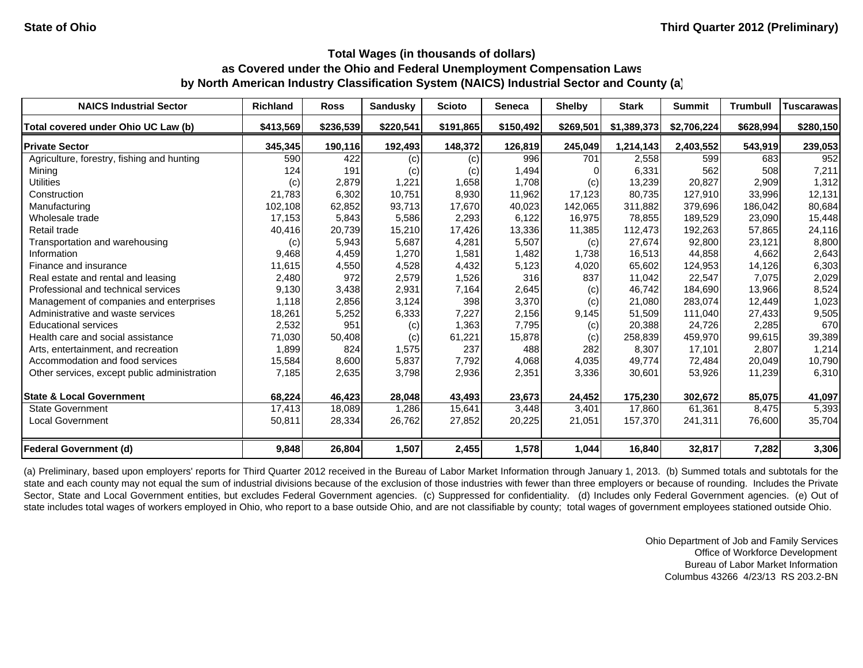| <b>NAICS Industrial Sector</b>               | <b>Richland</b> | <b>Ross</b> | <b>Sandusky</b> | <b>Scioto</b> | <b>Seneca</b> | <b>Shelby</b> | <b>Stark</b> | <b>Summit</b> | <b>Trumbull</b> | <b>Tuscarawas</b> |
|----------------------------------------------|-----------------|-------------|-----------------|---------------|---------------|---------------|--------------|---------------|-----------------|-------------------|
| Total covered under Ohio UC Law (b)          | \$413,569       | \$236,539   | \$220,541       | \$191,865     | \$150,492     | \$269,501     | \$1,389,373  | \$2,706,224   | \$628,994       | \$280,150         |
| <b>Private Sector</b>                        | 345,345         | 190,116     | 192,493         | 148,372       | 126,819       | 245,049       | 1,214,143    | 2,403,552     | 543,919         | 239,053           |
| Agriculture, forestry, fishing and hunting   | 590             | 422         | (c)             | (c)           | 996           | 701           | 2,558        | 599           | 683             | 952               |
| Mining                                       | 124             | 191         | (c)             | (c)           | 1,494         |               | 6,331        | 562           | 508             | 7,211             |
| <b>Utilities</b>                             | (c)             | 2,879       | 1,221           | 1,658         | 1,708         | (c)           | 13,239       | 20,827        | 2,909           | 1,312             |
| Construction                                 | 21.783          | 6,302       | 10.751          | 8,930         | 11,962        | 17.123        | 80,735       | 127.910       | 33.996          | 12,131            |
| Manufacturing                                | 102,108         | 62,852      | 93,713          | 17,670        | 40,023        | 142,065       | 311,882      | 379,696       | 186,042         | 80,684            |
| Wholesale trade                              | 17,153          | 5,843       | 5,586           | 2,293         | 6,122         | 16,975        | 78,855       | 189,529       | 23,090          | 15,448            |
| Retail trade                                 | 40,416          | 20,739      | 15,210          | 17,426        | 13,336        | 11,385        | 112,473      | 192,263       | 57,865          | 24,116            |
| Transportation and warehousing               | (c)             | 5,943       | 5,687           | 4,281         | 5,507         | (c)           | 27,674       | 92,800        | 23,121          | 8,800             |
| Information                                  | 9,468           | 4,459       | 1,270           | 1,581         | 1,482         | 1,738         | 16,513       | 44,858        | 4,662           | 2,643             |
| Finance and insurance                        | 11,615          | 4,550       | 4,528           | 4,432         | 5,123         | 4,020         | 65,602       | 124,953       | 14,126          | 6,303             |
| Real estate and rental and leasing           | 2,480           | 972         | 2,579           | 1,526         | 316           | 837           | 11,042       | 22,547        | 7,075           | 2,029             |
| Professional and technical services          | 9,130           | 3,438       | 2,931           | 7,164         | 2,645         | (c)           | 46,742       | 184.690       | 13,966          | 8,524             |
| Management of companies and enterprises      | 1,118           | 2,856       | 3,124           | 398           | 3,370         | (c)           | 21,080       | 283,074       | 12,449          | 1,023             |
| Administrative and waste services            | 18,261          | 5,252       | 6,333           | 7,227         | 2,156         | 9,145         | 51,509       | 111,040       | 27,433          | 9,505             |
| <b>Educational services</b>                  | 2,532           | 951         | (c)             | 1,363         | 7,795         | (c)           | 20,388       | 24,726        | 2,285           | 670               |
| Health care and social assistance            | 71,030          | 50,408      | (c)             | 61,221        | 15,878        | (c)           | 258,839      | 459,970       | 99,615          | 39,389            |
| Arts, entertainment, and recreation          | 1,899           | 824         | 1,575           | 237           | 488           | 282           | 8,307        | 17,101        | 2,807           | 1,214             |
| Accommodation and food services              | 15,584          | 8,600       | 5,837           | 7,792         | 4,068         | 4,035         | 49,774       | 72,484        | 20.049          | 10,790            |
| Other services, except public administration | 7,185           | 2,635       | 3,798           | 2,936         | 2,351         | 3,336         | 30,601       | 53,926        | 11,239          | 6,310             |
| <b>State &amp; Local Government</b>          | 68,224          | 46,423      | 28,048          | 43,493        | 23,673        | 24,452        | 175,230      | 302,672       | 85,075          | 41,097            |
| <b>State Government</b>                      | 17,413          | 18,089      | 1,286           | 15,641        | 3,448         | 3,401         | 17,860       | 61,361        | 8,475           | 5,393             |
| <b>Local Government</b>                      | 50,811          | 28,334      | 26,762          | 27,852        | 20,225        | 21,051        | 157,370      | 241,311       | 76,600          | 35,704            |
| <b>Federal Government (d)</b>                | 9,848           | 26,804      | 1,507           | 2,455         | 1,578         | 1,044         | 16,840       | 32,817        | 7,282           | 3,306             |

(a) Preliminary, based upon employers' reports for Third Quarter 2012 received in the Bureau of Labor Market Information through January 1, 2013. (b) Summed totals and subtotals for the state and each county may not equal the sum of industrial divisions because of the exclusion of those industries with fewer than three employers or because of rounding. Includes the Private Sector, State and Local Government entities, but excludes Federal Government agencies. (c) Suppressed for confidentiality. (d) Includes only Federal Government agencies. (e) Out of state includes total wages of workers employed in Ohio, who report to a base outside Ohio, and are not classifiable by county; total wages of government employees stationed outside Ohio.